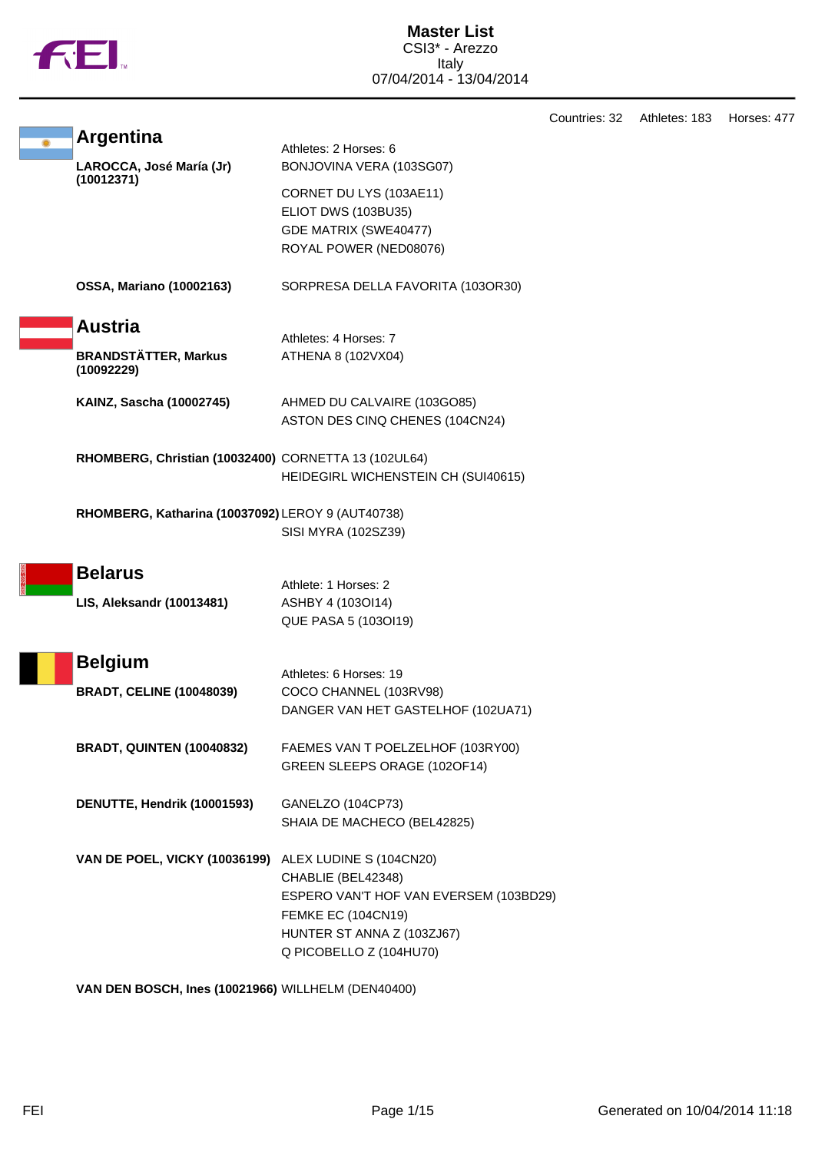|--|

Countries: 32 Athletes: 183 Horses: 477 **Argentina** Athletes: 2 Horses: 6 **LAROCCA, José María (Jr) (10012371)** BONJOVINA VERA (103SG07) CORNET DU LYS (103AE11) ELIOT DWS (103BU35) GDE MATRIX (SWE40477) ROYAL POWER (NED08076) **OSSA, Mariano (10002163)** SORPRESA DELLA FAVORITA (103OR30) **Austria** Athletes: 4 Horses: 7 **BRANDSTÄTTER, Markus (10092229)** ATHENA 8 (102VX04) **KAINZ, Sascha (10002745)** AHMED DU CALVAIRE (103GO85) ASTON DES CINQ CHENES (104CN24) **RHOMBERG, Christian (10032400)** CORNETTA 13 (102UL64) HEIDEGIRL WICHENSTEIN CH (SUI40615) **RHOMBERG, Katharina (10037092)** LEROY 9 (AUT40738) SISI MYRA (102SZ39) **Belarus** Athlete: 1 Horses: 2 **LIS, Aleksandr (10013481)** ASHBY 4 (103OI14) QUE PASA 5 (103OI19) **Belgium** Athletes: 6 Horses: 19 **BRADT, CELINE (10048039)** COCO CHANNEL (103RV98) DANGER VAN HET GASTELHOF (102UA71) **BRADT, QUINTEN (10040832)** FAEMES VAN T POELZELHOF (103RY00) GREEN SLEEPS ORAGE (102OF14) **DENUTTE, Hendrik (10001593)** GANELZO (104CP73) SHAIA DE MACHECO (BEL42825) **VAN DE POEL, VICKY (10036199)** ALEX LUDINE S (104CN20) CHABLIE (BEL42348) ESPERO VAN'T HOF VAN EVERSEM (103BD29) FEMKE EC (104CN19) HUNTER ST ANNA Z (103ZJ67) Q PICOBELLO Z (104HU70)

**VAN DEN BOSCH, Ines (10021966)** WILLHELM (DEN40400)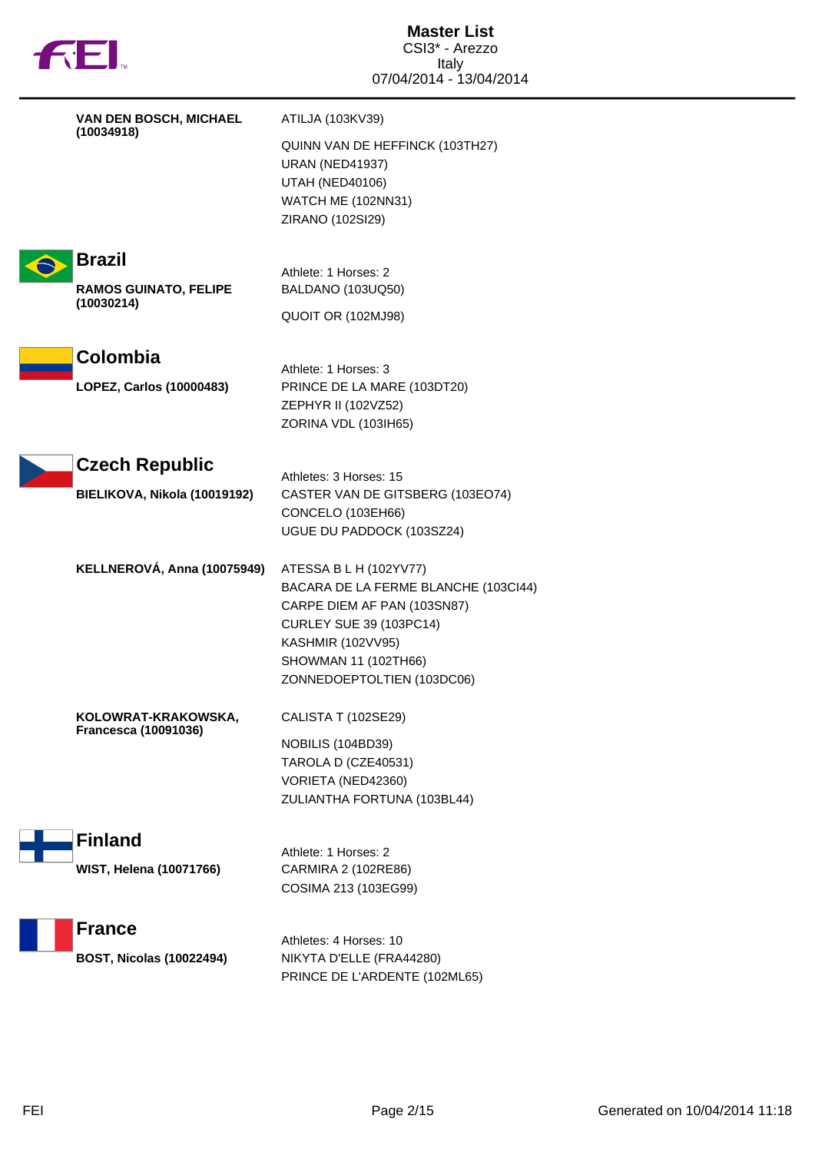|  | TМ |
|--|----|
|  |    |

| VAN DEN BOSCH, MICHAEL                           | ATILJA (103KV39)                                                                                                                                                                                                  |
|--------------------------------------------------|-------------------------------------------------------------------------------------------------------------------------------------------------------------------------------------------------------------------|
| (10034918)                                       | QUINN VAN DE HEFFINCK (103TH27)<br><b>URAN (NED41937)</b><br><b>UTAH (NED40106)</b><br>WATCH ME (102NN31)<br>ZIRANO (102SI29)                                                                                     |
| <b>Brazil</b>                                    |                                                                                                                                                                                                                   |
| <b>RAMOS GUINATO, FELIPE</b>                     | Athlete: 1 Horses: 2<br>BALDANO (103UQ50)                                                                                                                                                                         |
| (10030214)                                       | QUOIT OR (102MJ98)                                                                                                                                                                                                |
| Colombia                                         |                                                                                                                                                                                                                   |
| LOPEZ, Carlos (10000483)                         | Athlete: 1 Horses: 3<br>PRINCE DE LA MARE (103DT20)                                                                                                                                                               |
|                                                  | ZEPHYR II (102VZ52)<br>ZORINA VDL (103IH65)                                                                                                                                                                       |
|                                                  |                                                                                                                                                                                                                   |
| <b>Czech Republic</b>                            | Athletes: 3 Horses: 15                                                                                                                                                                                            |
| BIELIKOVA, Nikola (10019192)                     | CASTER VAN DE GITSBERG (103EO74)<br>CONCELO (103EH66)                                                                                                                                                             |
|                                                  | UGUE DU PADDOCK (103SZ24)                                                                                                                                                                                         |
| KELLNEROVÁ, Anna (10075949)                      | ATESSA B L H (102YV77)<br>BACARA DE LA FERME BLANCHE (103CI44)<br>CARPE DIEM AF PAN (103SN87)<br><b>CURLEY SUE 39 (103PC14)</b><br><b>KASHMIR (102VV95)</b><br>SHOWMAN 11 (102TH66)<br>ZONNEDOEPTOLTIEN (103DC06) |
| KOLOWRAT-KRAKOWSKA,                              | CALISTA T (102SE29)                                                                                                                                                                                               |
| <b>Francesca (10091036)</b>                      | NOBILIS (104BD39)<br>TAROLA D (CZE40531)<br>VORIETA (NED42360)<br>ZULIANTHA FORTUNA (103BL44)                                                                                                                     |
| <b>Finland</b>                                   |                                                                                                                                                                                                                   |
| <b>WIST, Helena (10071766)</b>                   | Athlete: 1 Horses: 2<br>CARMIRA 2 (102RE86)<br>COSIMA 213 (103EG99)                                                                                                                                               |
| <b>France</b><br><b>BOST, Nicolas (10022494)</b> | Athletes: 4 Horses: 10<br>NIKYTA D'ELLE (FRA44280)<br>PRINCE DE L'ARDENTE (102ML65)                                                                                                                               |
|                                                  |                                                                                                                                                                                                                   |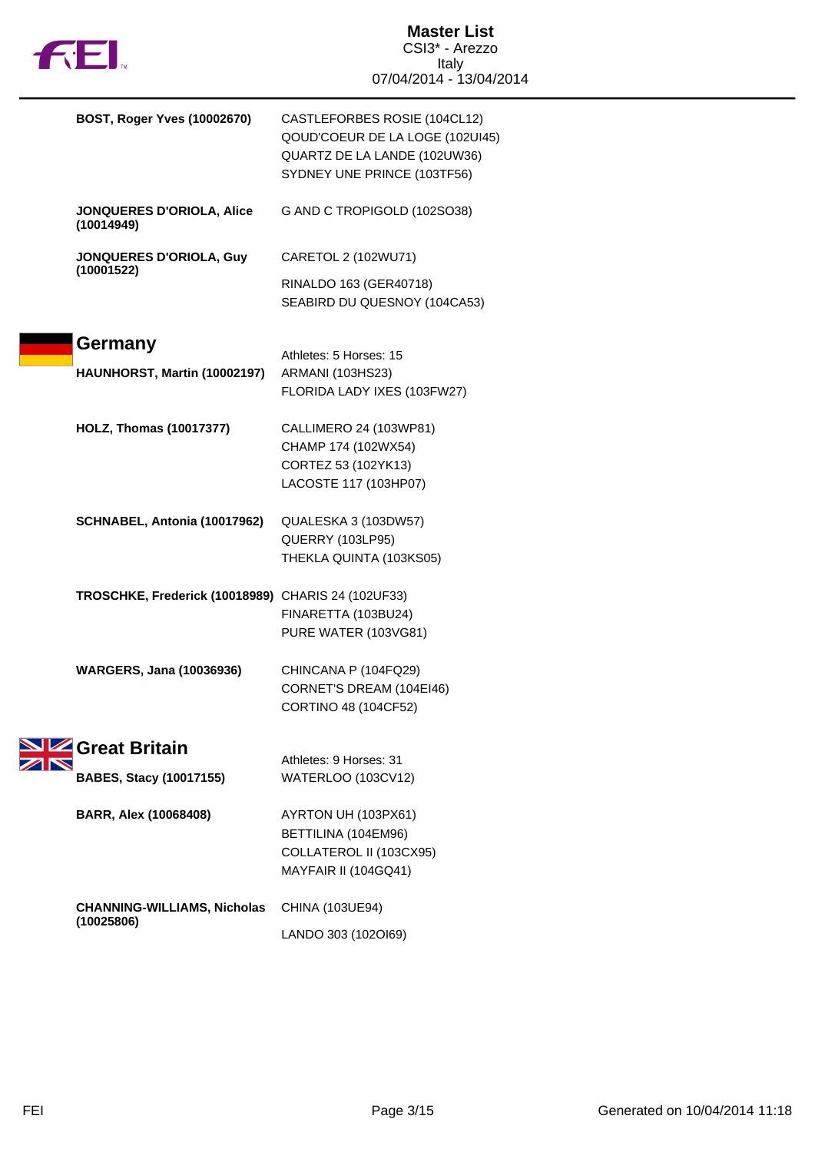

| BOST, Roger Yves (10002670)                        | CASTLEFORBES ROSIE (104CL12)<br>QOUD'COEUR DE LA LOGE (102UI45)<br>QUARTZ DE LA LANDE (102UW36)<br>SYDNEY UNE PRINCE (103TF56) |
|----------------------------------------------------|--------------------------------------------------------------------------------------------------------------------------------|
| JONQUERES D'ORIOLA, Alice<br>(10014949)            | G AND C TROPIGOLD (102SO38)                                                                                                    |
| <b>JONQUERES D'ORIOLA, Guy</b>                     | CARETOL 2 (102WU71)                                                                                                            |
| (10001522)                                         | RINALDO 163 (GER40718)<br>SEABIRD DU QUESNOY (104CA53)                                                                         |
| Germany<br>HAUNHORST, Martin (10002197)            | Athletes: 5 Horses: 15<br>ARMANI (103HS23)<br>FLORIDA LADY IXES (103FW27)                                                      |
| <b>HOLZ, Thomas (10017377)</b>                     | CALLIMERO 24 (103WP81)<br>CHAMP 174 (102WX54)<br>CORTEZ 53 (102YK13)<br>LACOSTE 117 (103HP07)                                  |
| SCHNABEL, Antonia (10017962)                       | QUALESKA 3 (103DW57)<br>QUERRY (103LP95)<br>THEKLA QUINTA (103KS05)                                                            |
| TROSCHKE, Frederick (10018989) CHARIS 24 (102UF33) | FINARETTA (103BU24)<br>PURE WATER (103VG81)                                                                                    |
| <b>WARGERS, Jana (10036936)</b>                    | CHINCANA P (104FQ29)<br>CORNET'S DREAM (104EI46)<br>CORTINO 48 (104CF52)                                                       |
| Great Britain<br><b>BABES, Stacy (10017155)</b>    | Athletes: 9 Horses: 31<br><b>WATERLOO (103CV12)</b>                                                                            |
| <b>BARR, Alex (10068408)</b>                       | AYRTON UH (103PX61)<br>BETTILINA (104EM96)<br>COLLATEROL II (103CX95)<br>MAYFAIR II (104GQ41)                                  |
| <b>CHANNING-WILLIAMS, Nicholas</b><br>(10025806)   | CHINA (103UE94)<br>LANDO 303 (102OI69)                                                                                         |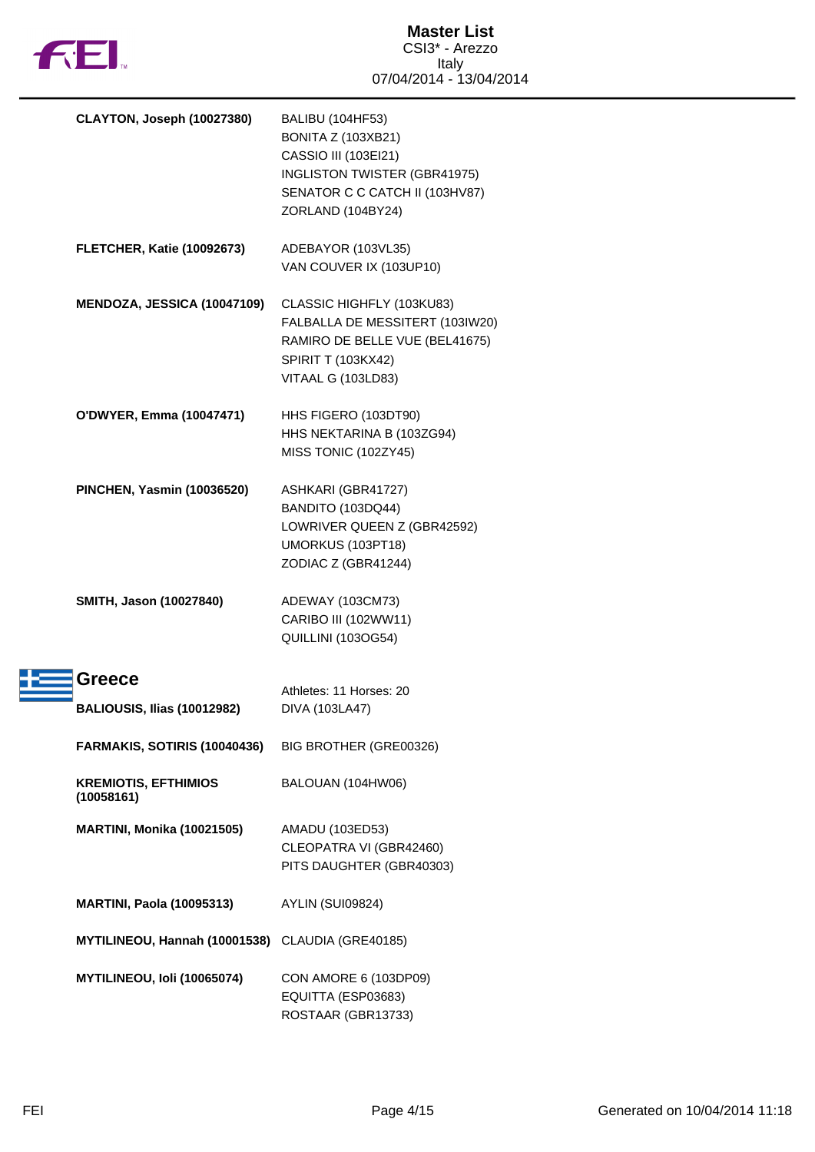

| CLAYTON, Joseph (10027380)                       | <b>BALIBU (104HF53)</b><br><b>BONITA Z (103XB21)</b><br>CASSIO III (103EI21)<br>INGLISTON TWISTER (GBR41975)<br>SENATOR C C CATCH II (103HV87)<br>ZORLAND (104BY24) |
|--------------------------------------------------|---------------------------------------------------------------------------------------------------------------------------------------------------------------------|
| <b>FLETCHER, Katie (10092673)</b>                | ADEBAYOR (103VL35)<br>VAN COUVER IX (103UP10)                                                                                                                       |
| MENDOZA, JESSICA (10047109)                      | CLASSIC HIGHFLY (103KU83)<br>FALBALLA DE MESSITERT (103IW20)<br>RAMIRO DE BELLE VUE (BEL41675)<br>SPIRIT T (103KX42)<br>VITAAL G (103LD83)                          |
| O'DWYER, Emma (10047471)                         | HHS FIGERO (103DT90)<br>HHS NEKTARINA B (103ZG94)<br>MISS TONIC (102ZY45)                                                                                           |
| <b>PINCHEN, Yasmin (10036520)</b>                | ASHKARI (GBR41727)<br>BANDITO (103DQ44)<br>LOWRIVER QUEEN Z (GBR42592)<br>UMORKUS (103PT18)<br>ZODIAC Z (GBR41244)                                                  |
| SMITH, Jason (10027840)                          | ADEWAY (103CM73)<br>CARIBO III (102WW11)<br>QUILLINI (103OG54)                                                                                                      |
| Greece                                           | Athletes: 11 Horses: 20                                                                                                                                             |
| <b>BALIOUSIS, Ilias (10012982)</b>               | DIVA (103LA47)                                                                                                                                                      |
| FARMAKIS, SOTIRIS (10040436)                     | BIG BROTHER (GRE00326)                                                                                                                                              |
| <b>KREMIOTIS, EFTHIMIOS</b><br>(10058161)        | BALOUAN (104HW06)                                                                                                                                                   |
| <b>MARTINI, Monika (10021505)</b>                | AMADU (103ED53)<br>CLEOPATRA VI (GBR42460)<br>PITS DAUGHTER (GBR40303)                                                                                              |
| <b>MARTINI, Paola (10095313)</b>                 | AYLIN (SUI09824)                                                                                                                                                    |
| MYTILINEOU, Hannah (10001538) CLAUDIA (GRE40185) |                                                                                                                                                                     |
| MYTILINEOU, Ioli (10065074)                      | CON AMORE 6 (103DP09)<br>EQUITTA (ESP03683)<br>ROSTAAR (GBR13733)                                                                                                   |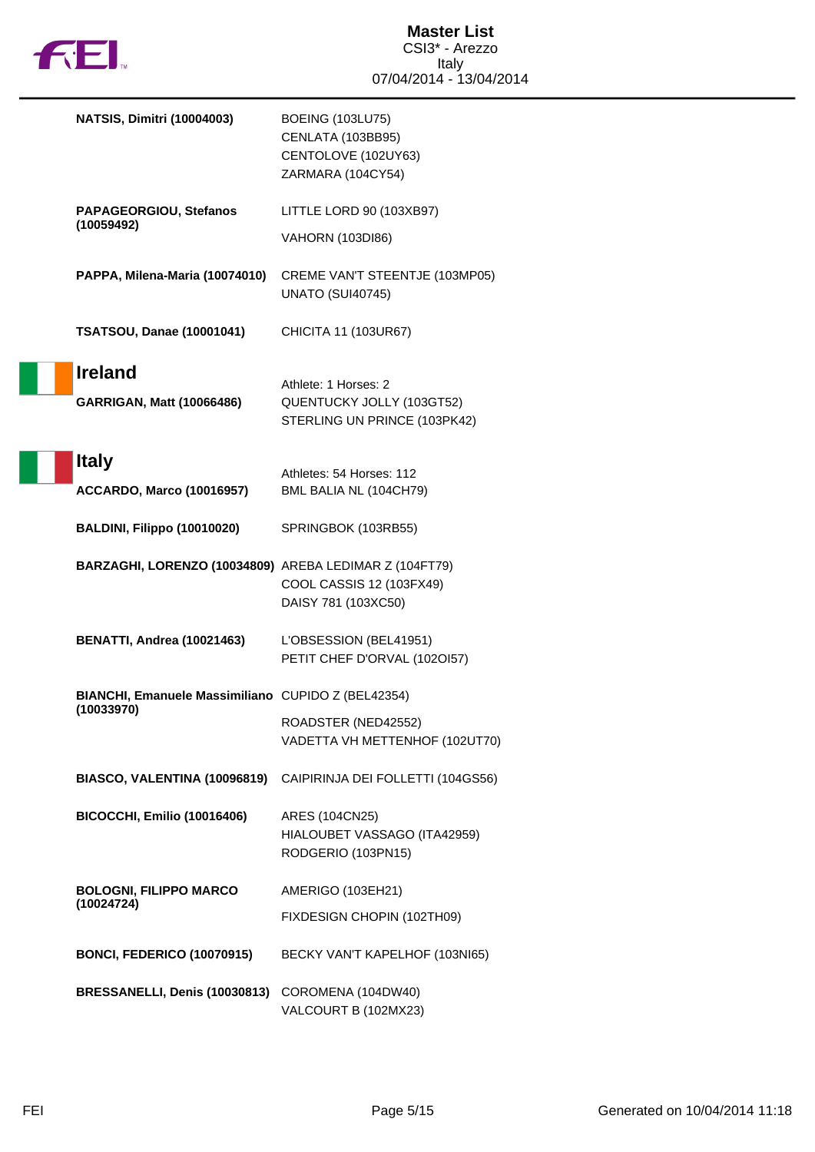

| <b>NATSIS, Dimitri (10004003)</b>                      | <b>BOEING (103LU75)</b><br>CENLATA (103BB95)<br>CENTOLOVE (102UY63)<br>ZARMARA (104CY54) |
|--------------------------------------------------------|------------------------------------------------------------------------------------------|
| PAPAGEORGIOU, Stefanos                                 | LITTLE LORD 90 (103XB97)                                                                 |
| (10059492)                                             | <b>VAHORN (103DI86)</b>                                                                  |
| PAPPA, Milena-Maria (10074010)                         | CREME VAN'T STEENTJE (103MP05)<br><b>UNATO (SUI40745)</b>                                |
| <b>TSATSOU, Danae (10001041)</b>                       | CHICITA 11 (103UR67)                                                                     |
| <b>Ireland</b><br><b>GARRIGAN, Matt (10066486)</b>     | Athlete: 1 Horses: 2<br>QUENTUCKY JOLLY (103GT52)<br>STERLING UN PRINCE (103PK42)        |
| <b>Italy</b><br><b>ACCARDO, Marco (10016957)</b>       | Athletes: 54 Horses: 112<br>BML BALIA NL (104CH79)                                       |
| BALDINI, Filippo (10010020)                            | SPRINGBOK (103RB55)                                                                      |
| BARZAGHI, LORENZO (10034809) AREBA LEDIMAR Z (104FT79) | COOL CASSIS 12 (103FX49)<br>DAISY 781 (103XC50)                                          |
| <b>BENATTI, Andrea (10021463)</b>                      | L'OBSESSION (BEL41951)<br>PETIT CHEF D'ORVAL (1020157)                                   |
| BIANCHI, Emanuele Massimiliano CUPIDO Z (BEL42354)     |                                                                                          |
| (10033970)                                             | ROADSTER (NED42552)<br>VADETTA VH METTENHOF (102UT70)                                    |
| BIASCO, VALENTINA (10096819)                           | CAIPIRINJA DEI FOLLETTI (104GS56)                                                        |
| BICOCCHI, Emilio (10016406)                            | ARES (104CN25)<br>HIALOUBET VASSAGO (ITA42959)<br>RODGERIO (103PN15)                     |
| <b>BOLOGNI, FILIPPO MARCO</b>                          | AMERIGO (103EH21)                                                                        |
| (10024724)                                             | FIXDESIGN CHOPIN (102TH09)                                                               |
| <b>BONCI, FEDERICO (10070915)</b>                      | BECKY VAN'T KAPELHOF (103NI65)                                                           |
| BRESSANELLI, Denis (10030813)                          | COROMENA (104DW40)<br>VALCOURT B (102MX23)                                               |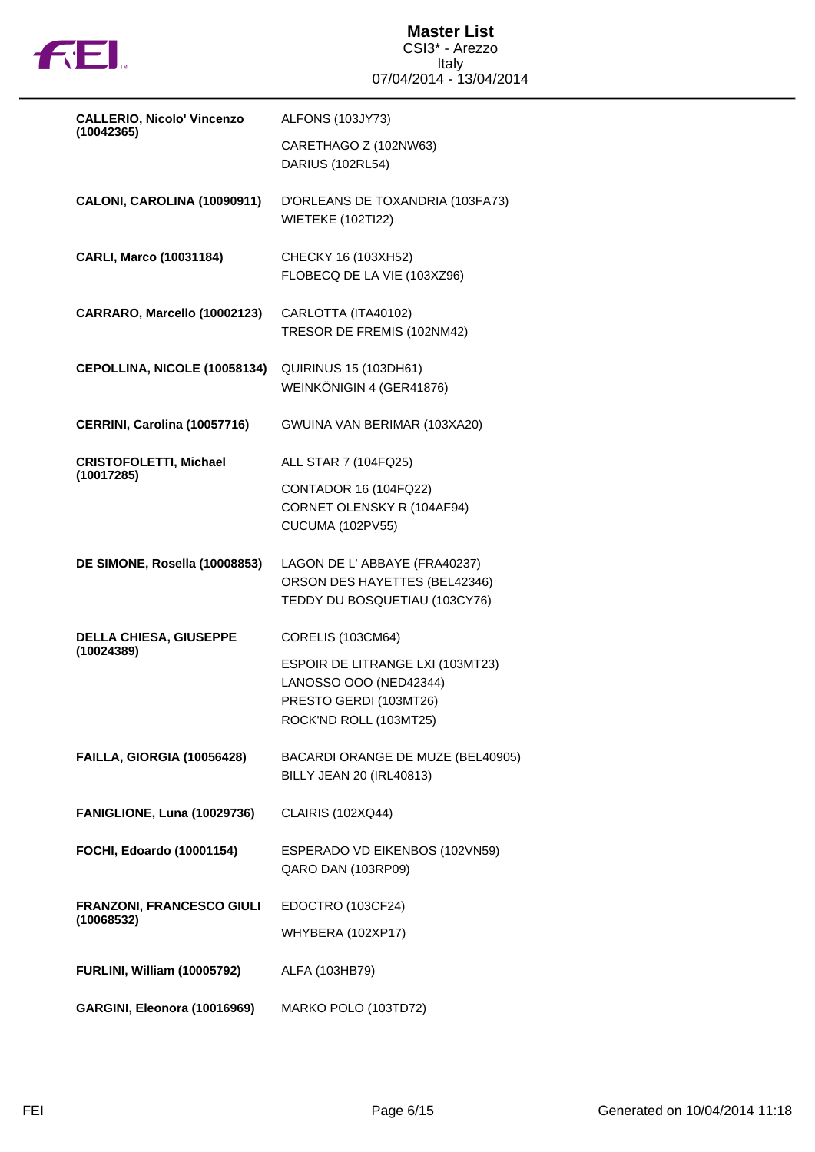

| <b>CALLERIO, Nicolo' Vincenzo</b><br>(10042365) | ALFONS (103JY73)                                                                                               |
|-------------------------------------------------|----------------------------------------------------------------------------------------------------------------|
|                                                 | CARETHAGO Z (102NW63)<br>DARIUS (102RL54)                                                                      |
| CALONI, CAROLINA (10090911)                     | D'ORLEANS DE TOXANDRIA (103FA73)<br><b>WIETEKE (102TI22)</b>                                                   |
| CARLI, Marco (10031184)                         | CHECKY 16 (103XH52)<br>FLOBECQ DE LA VIE (103XZ96)                                                             |
| CARRARO, Marcello (10002123)                    | CARLOTTA (ITA40102)<br>TRESOR DE FREMIS (102NM42)                                                              |
| CEPOLLINA, NICOLE (10058134)                    | <b>QUIRINUS 15 (103DH61)</b><br>WEINKÖNIGIN 4 (GER41876)                                                       |
| CERRINI, Carolina (10057716)                    | GWUINA VAN BERIMAR (103XA20)                                                                                   |
| <b>CRISTOFOLETTI, Michael</b><br>(10017285)     | ALL STAR 7 (104FQ25)                                                                                           |
|                                                 | CONTADOR 16 (104FQ22)<br>CORNET OLENSKY R (104AF94)<br><b>CUCUMA (102PV55)</b>                                 |
| DE SIMONE, Rosella (10008853)                   | LAGON DE L'ABBAYE (FRA40237)<br>ORSON DES HAYETTES (BEL42346)<br>TEDDY DU BOSQUETIAU (103CY76)                 |
| <b>DELLA CHIESA, GIUSEPPE</b><br>(10024389)     | <b>CORELIS (103CM64)</b>                                                                                       |
|                                                 | ESPOIR DE LITRANGE LXI (103MT23)<br>LANOSSO OOO (NED42344)<br>PRESTO GERDI (103MT26)<br>ROCK'ND ROLL (103MT25) |
| FAILLA, GIORGIA (10056428)                      | BACARDI ORANGE DE MUZE (BEL40905)<br><b>BILLY JEAN 20 (IRL40813)</b>                                           |
| FANIGLIONE, Luna (10029736)                     | <b>CLAIRIS (102XQ44)</b>                                                                                       |
| FOCHI, Edoardo (10001154)                       | ESPERADO VD EIKENBOS (102VN59)<br>QARO DAN (103RP09)                                                           |
| FRANZONI, FRANCESCO GIULI<br>(10068532)         | EDOCTRO (103CF24)                                                                                              |
|                                                 | <b>WHYBERA (102XP17)</b>                                                                                       |
| <b>FURLINI, William (10005792)</b>              | ALFA (103HB79)                                                                                                 |
| GARGINI, Eleonora (10016969)                    | MARKO POLO (103TD72)                                                                                           |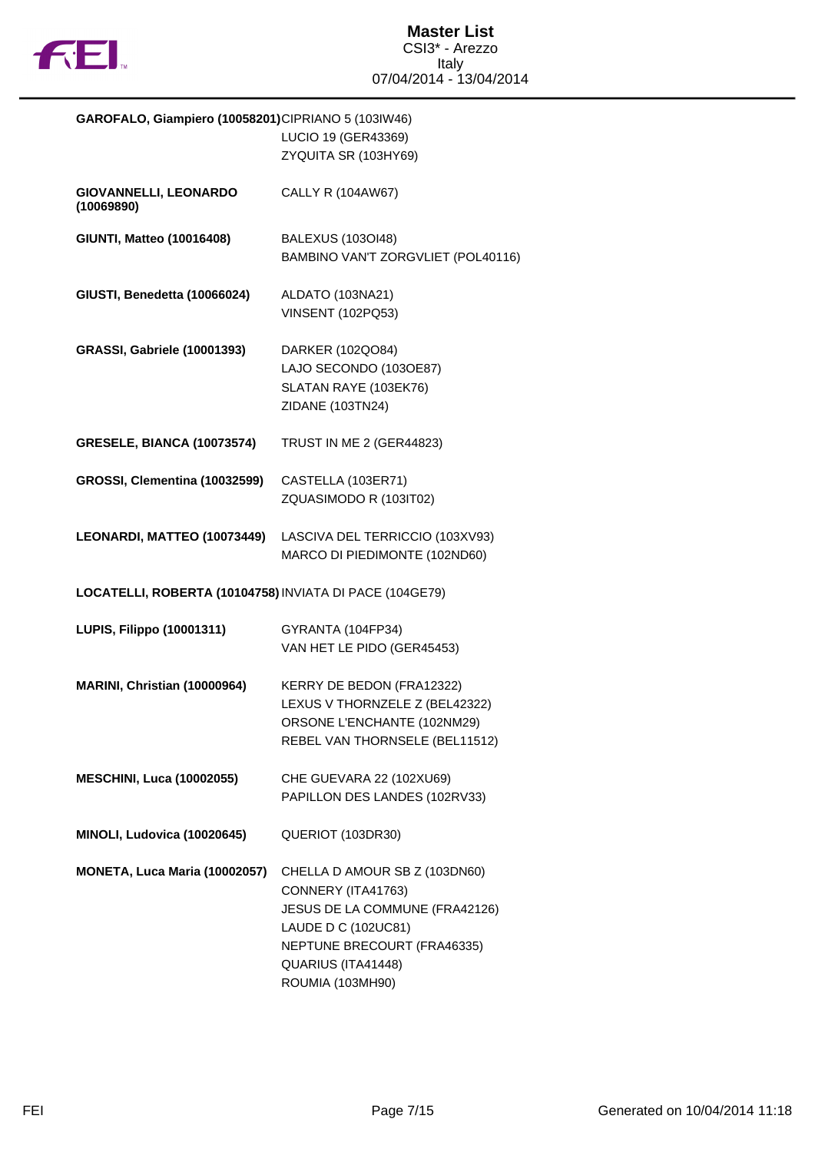

| GAROFALO, Giampiero (10058201)CIPRIANO 5 (103IW46)      |                                    |
|---------------------------------------------------------|------------------------------------|
|                                                         | LUCIO 19 (GER43369)                |
|                                                         | ZYQUITA SR (103HY69)               |
|                                                         |                                    |
| GIOVANNELLI, LEONARDO                                   | CALLY R (104AW67)                  |
| (10069890)                                              |                                    |
| <b>GIUNTI, Matteo (10016408)</b>                        | <b>BALEXUS (103OI48)</b>           |
|                                                         | BAMBINO VAN'T ZORGVLIET (POL40116) |
|                                                         |                                    |
| GIUSTI, Benedetta (10066024)                            | ALDATO (103NA21)                   |
|                                                         | <b>VINSENT (102PQ53)</b>           |
|                                                         |                                    |
| <b>GRASSI, Gabriele (10001393)</b>                      | DARKER (102QO84)                   |
|                                                         | LAJO SECONDO (103OE87)             |
|                                                         | SLATAN RAYE (103EK76)              |
|                                                         | ZIDANE (103TN24)                   |
|                                                         |                                    |
| <b>GRESELE, BIANCA (10073574)</b>                       | <b>TRUST IN ME 2 (GER44823)</b>    |
|                                                         |                                    |
| GROSSI, Clementina (10032599)                           | CASTELLA (103ER71)                 |
|                                                         | ZQUASIMODO R (103IT02)             |
|                                                         |                                    |
| LEONARDI, MATTEO (10073449)                             | LASCIVA DEL TERRICCIO (103XV93)    |
|                                                         | MARCO DI PIEDIMONTE (102ND60)      |
|                                                         |                                    |
| LOCATELLI, ROBERTA (10104758) INVIATA DI PACE (104GE79) |                                    |
|                                                         |                                    |
| LUPIS, Filippo (10001311)                               | GYRANTA (104FP34)                  |
|                                                         | VAN HET LE PIDO (GER45453)         |
|                                                         |                                    |
| MARINI, Christian (10000964)                            | KERRY DE BEDON (FRA12322)          |
|                                                         | LEXUS V THORNZELE Z (BEL42322)     |
|                                                         | ORSONE L'ENCHANTE (102NM29)        |
|                                                         | REBEL VAN THORNSELE (BEL11512)     |
|                                                         |                                    |
| <b>MESCHINI, Luca (10002055)</b>                        | CHE GUEVARA 22 (102XU69)           |
|                                                         | PAPILLON DES LANDES (102RV33)      |
|                                                         |                                    |
| MINOLI, Ludovica (10020645)                             | QUERIOT (103DR30)                  |
|                                                         |                                    |
| MONETA, Luca Maria (10002057)                           | CHELLA D AMOUR SB Z (103DN60)      |
|                                                         | CONNERY (ITA41763)                 |
|                                                         | JESUS DE LA COMMUNE (FRA42126)     |
|                                                         | LAUDE D C (102UC81)                |
|                                                         | NEPTUNE BRECOURT (FRA46335)        |
|                                                         | QUARIUS (ITA41448)                 |
|                                                         | ROUMIA (103MH90)                   |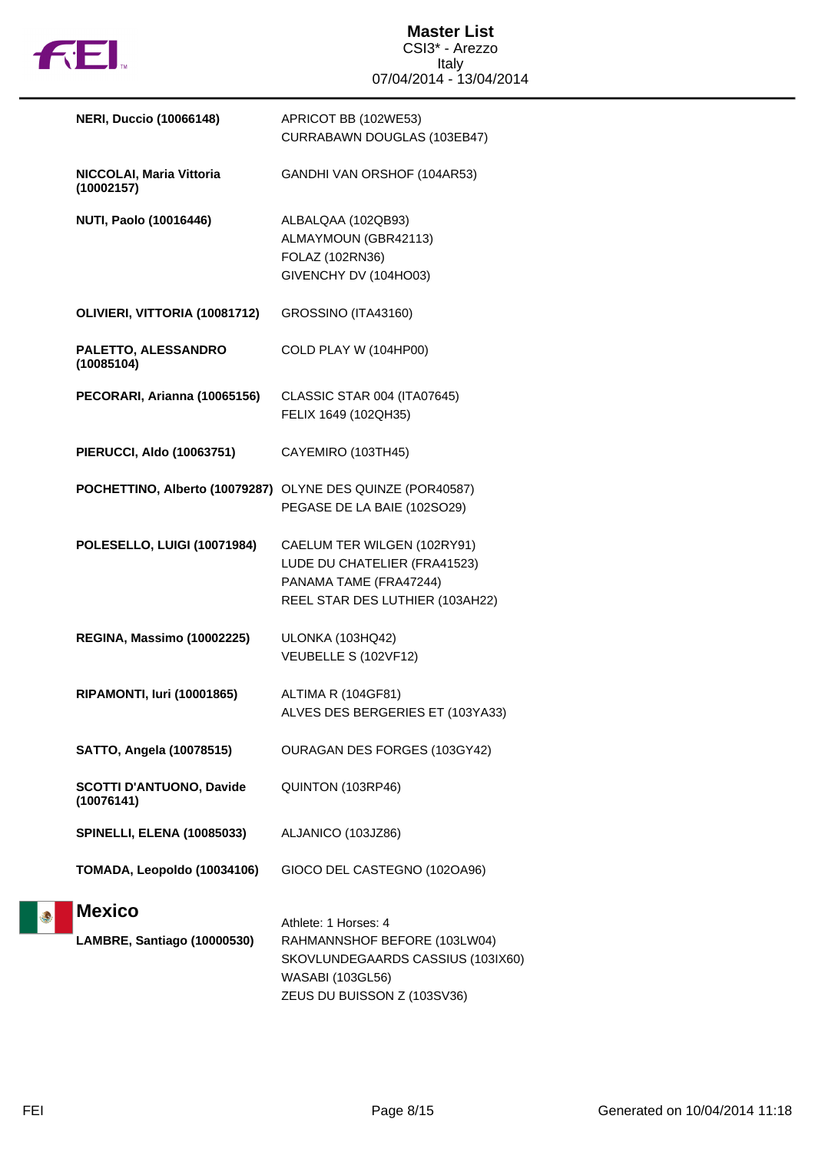

**Master List** CSI3\* - Arezzo Italy 07/04/2014 - 13/04/2014

| <b>NERI, Duccio (10066148)</b>                             | APRICOT BB (102WE53)<br>CURRABAWN DOUGLAS (103EB47)                                                                                                 |
|------------------------------------------------------------|-----------------------------------------------------------------------------------------------------------------------------------------------------|
| <b>NICCOLAI, Maria Vittoria</b><br>(10002157)              | GANDHI VAN ORSHOF (104AR53)                                                                                                                         |
| <b>NUTI, Paolo (10016446)</b>                              | ALBALQAA (102QB93)<br>ALMAYMOUN (GBR42113)<br>FOLAZ (102RN36)<br>GIVENCHY DV (104HO03)                                                              |
| OLIVIERI, VITTORIA (10081712)                              | GROSSINO (ITA43160)                                                                                                                                 |
| PALETTO, ALESSANDRO<br>(10085104)                          | COLD PLAY W (104HP00)                                                                                                                               |
| PECORARI, Arianna (10065156)                               | CLASSIC STAR 004 (ITA07645)<br>FELIX 1649 (102QH35)                                                                                                 |
| <b>PIERUCCI, Aldo (10063751)</b>                           | CAYEMIRO (103TH45)                                                                                                                                  |
| POCHETTINO, Alberto (10079287) OLYNE DES QUINZE (POR40587) | PEGASE DE LA BAIE (102SO29)                                                                                                                         |
| POLESELLO, LUIGI (10071984)                                | CAELUM TER WILGEN (102RY91)<br>LUDE DU CHATELIER (FRA41523)<br>PANAMA TAME (FRA47244)<br>REEL STAR DES LUTHIER (103AH22)                            |
| REGINA, Massimo (10002225)                                 | ULONKA (103HQ42)<br>VEUBELLE S (102VF12)                                                                                                            |
| <b>RIPAMONTI, Iuri (10001865)</b>                          | ALTIMA R (104GF81)<br>ALVES DES BERGERIES ET (103YA33)                                                                                              |
| <b>SATTO, Angela (10078515)</b>                            | OURAGAN DES FORGES (103GY42)                                                                                                                        |
| <b>SCOTTI D'ANTUONO, Davide</b><br>(10076141)              | QUINTON (103RP46)                                                                                                                                   |
| <b>SPINELLI, ELENA (10085033)</b>                          | ALJANICO (103JZ86)                                                                                                                                  |
| TOMADA, Leopoldo (10034106)                                | GIOCO DEL CASTEGNO (102OA96)                                                                                                                        |
| <b>Mexico</b><br>LAMBRE, Santiago (10000530)               | Athlete: 1 Horses: 4<br>RAHMANNSHOF BEFORE (103LW04)<br>SKOVLUNDEGAARDS CASSIUS (103IX60)<br><b>WASABI (103GL56)</b><br>ZEUS DU BUISSON Z (103SV36) |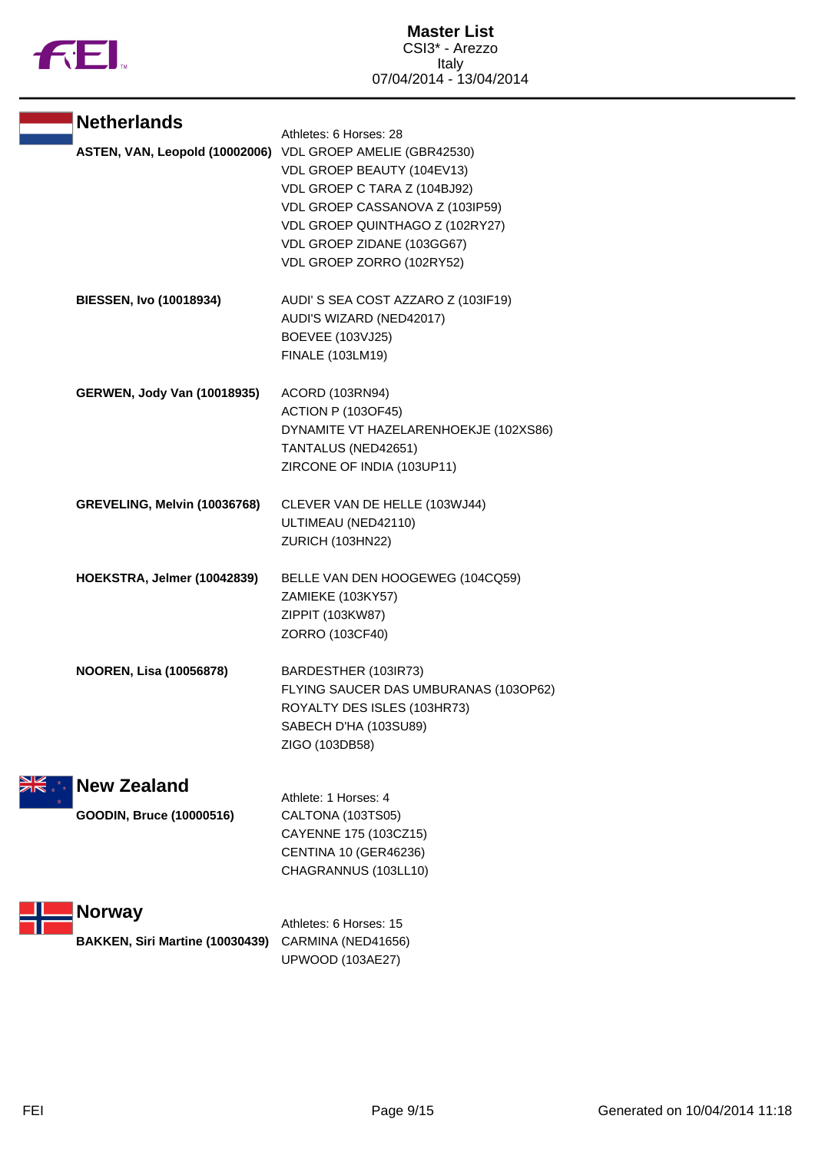

| <b>Netherlands</b>                  | Athletes: 6 Horses: 28                                                                                                                                                                                                     |
|-------------------------------------|----------------------------------------------------------------------------------------------------------------------------------------------------------------------------------------------------------------------------|
| ASTEN, VAN, Leopold (10002006)      | VDL GROEP AMELIE (GBR42530)<br>VDL GROEP BEAUTY (104EV13)<br>VDL GROEP C TARA Z (104BJ92)<br>VDL GROEP CASSANOVA Z (103IP59)<br>VDL GROEP QUINTHAGO Z (102RY27)<br>VDL GROEP ZIDANE (103GG67)<br>VDL GROEP ZORRO (102RY52) |
| <b>BIESSEN, Ivo (10018934)</b>      | AUDI'S SEA COST AZZARO Z (103IF19)<br>AUDI'S WIZARD (NED42017)<br><b>BOEVEE (103VJ25)</b><br>FINALE (103LM19)                                                                                                              |
| <b>GERWEN, Jody Van (10018935)</b>  | ACORD (103RN94)<br><b>ACTION P (103OF45)</b><br>DYNAMITE VT HAZELARENHOEKJE (102XS86)<br>TANTALUS (NED42651)<br>ZIRCONE OF INDIA (103UP11)                                                                                 |
| <b>GREVELING, Melvin (10036768)</b> | CLEVER VAN DE HELLE (103WJ44)<br>ULTIMEAU (NED42110)<br>ZURICH (103HN22)                                                                                                                                                   |
| HOEKSTRA, Jelmer (10042839)         | BELLE VAN DEN HOOGEWEG (104CQ59)<br>ZAMIEKE (103KY57)<br>ZIPPIT (103KW87)<br>ZORRO (103CF40)                                                                                                                               |
| <b>NOOREN, Lisa (10056878)</b>      | BARDESTHER (103IR73)<br>FLYING SAUCER DAS UMBURANAS (103OP62)<br>ROYALTY DES ISLES (103HR73)<br>SABECH D'HA (103SU89)<br>ZIGO (103DB58)                                                                                    |
| <b>New Zealand</b>                  | Athlete: 1 Horses: 4                                                                                                                                                                                                       |
| GOODIN, Bruce (10000516)            | CALTONA (103TS05)<br>CAYENNE 175 (103CZ15)<br>CENTINA 10 (GER46236)<br>CHAGRANNUS (103LL10)                                                                                                                                |
| <b>Norway</b>                       | Athletes: 6 Horses: 15                                                                                                                                                                                                     |
| BAKKEN, Siri Martine (10030439)     | CARMINA (NED41656)<br>UPWOOD (103AE27)                                                                                                                                                                                     |

M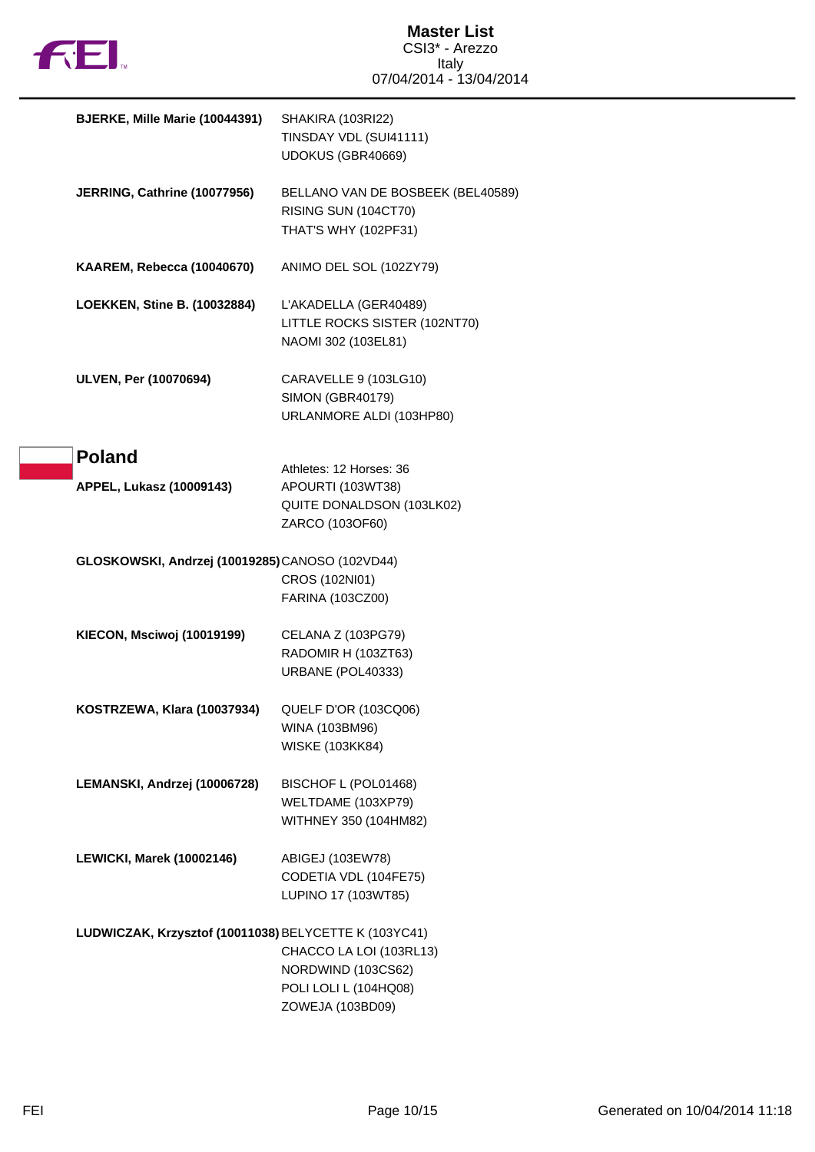

| BJERKE, Mille Marie (10044391)                        | SHAKIRA (103RI22)<br>TINSDAY VDL (SUI41111)<br>UDOKUS (GBR40669)                             |
|-------------------------------------------------------|----------------------------------------------------------------------------------------------|
| JERRING, Cathrine (10077956)                          | BELLANO VAN DE BOSBEEK (BEL40589)<br>RISING SUN (104CT70)<br>THAT'S WHY (102PF31)            |
| KAAREM, Rebecca (10040670)                            | ANIMO DEL SOL (102ZY79)                                                                      |
| LOEKKEN, Stine B. (10032884)                          | L'AKADELLA (GER40489)<br>LITTLE ROCKS SISTER (102NT70)<br>NAOMI 302 (103EL81)                |
| ULVEN, Per (10070694)                                 | CARAVELLE 9 (103LG10)<br><b>SIMON (GBR40179)</b><br>URLANMORE ALDI (103HP80)                 |
| <b>Poland</b><br>APPEL, Lukasz (10009143)             | Athletes: 12 Horses: 36<br>APOURTI (103WT38)<br>QUITE DONALDSON (103LK02)<br>ZARCO (103OF60) |
| GLOSKOWSKI, Andrzej (10019285)CANOSO (102VD44)        | CROS (102NI01)<br>FARINA (103CZ00)                                                           |
| KIECON, Msciwoj (10019199)                            | CELANA Z (103PG79)<br>RADOMIR H (103ZT63)<br>URBANE (POL40333)                               |
| KOSTRZEWA, Klara (10037934)                           | QUELF D'OR (103CQ06)<br>WINA (103BM96)<br><b>WISKE (103KK84)</b>                             |
| LEMANSKI, Andrzej (10006728)                          | BISCHOF L (POL01468)<br>WELTDAME (103XP79)<br>WITHNEY 350 (104HM82)                          |
| <b>LEWICKI, Marek (10002146)</b>                      | ABIGEJ (103EW78)<br>CODETIA VDL (104FE75)<br>LUPINO 17 (103WT85)                             |
| LUDWICZAK, Krzysztof (10011038) BELYCETTE K (103YC41) | CHACCO LA LOI (103RL13)<br>NORDWIND (103CS62)<br>POLI LOLI L (104HQ08)<br>ZOWEJA (103BD09)   |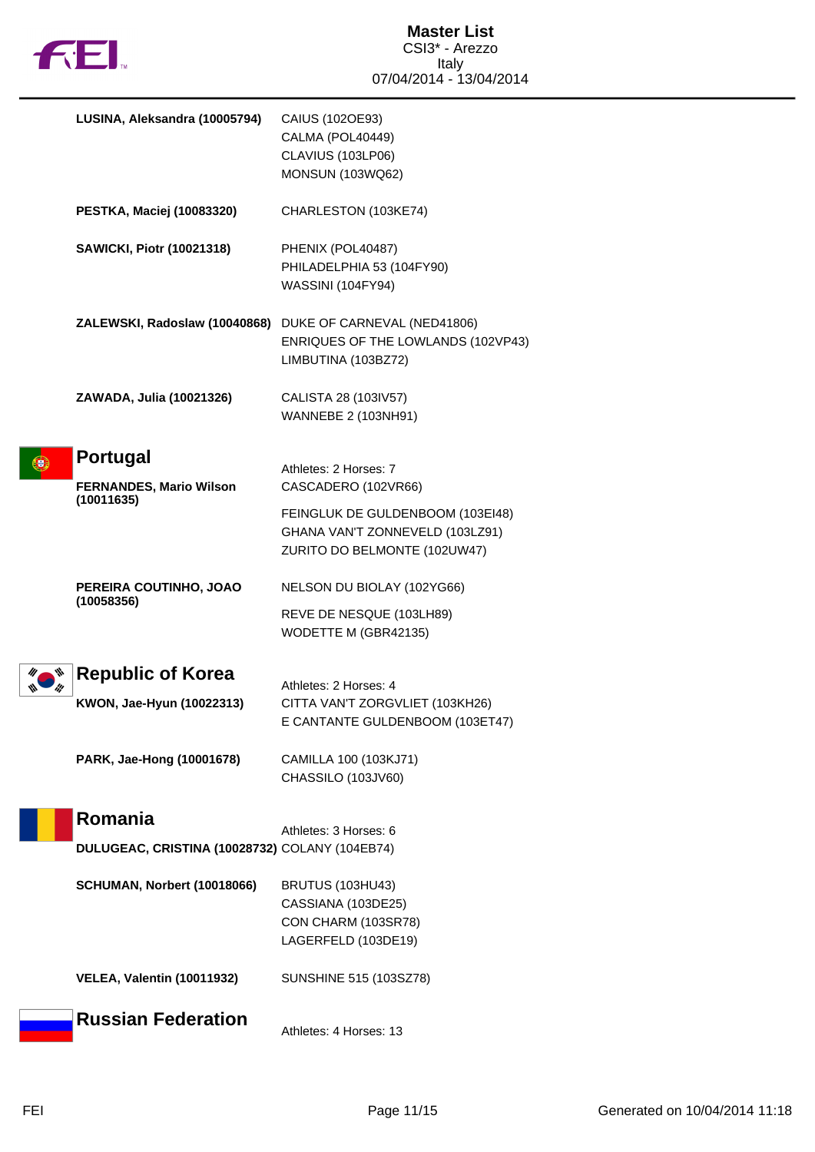

|    | LUSINA, Aleksandra (10005794)                     | CAIUS (102OE93)<br>CALMA (POL40449)<br>CLAVIUS (103LP06)<br>MONSUN (103WQ62)                        |
|----|---------------------------------------------------|-----------------------------------------------------------------------------------------------------|
|    | PESTKA, Maciej (10083320)                         | CHARLESTON (103KE74)                                                                                |
|    | <b>SAWICKI, Piotr (10021318)</b>                  | PHENIX (POL40487)<br>PHILADELPHIA 53 (104FY90)<br><b>WASSINI (104FY94)</b>                          |
|    | ZALEWSKI, Radoslaw (10040868)                     | DUKE OF CARNEVAL (NED41806)<br>ENRIQUES OF THE LOWLANDS (102VP43)<br>LIMBUTINA (103BZ72)            |
|    | ZAWADA, Julia (10021326)                          | CALISTA 28 (103IV57)<br>WANNEBE 2 (103NH91)                                                         |
| Đ, | <b>Portugal</b><br><b>FERNANDES, Mario Wilson</b> | Athletes: 2 Horses: 7<br>CASCADERO (102VR66)                                                        |
|    | (10011635)                                        | FEINGLUK DE GULDENBOOM (103EI48)<br>GHANA VAN'T ZONNEVELD (103LZ91)<br>ZURITO DO BELMONTE (102UW47) |
|    | PEREIRA COUTINHO, JOAO                            | NELSON DU BIOLAY (102YG66)                                                                          |
|    | (10058356)                                        | REVE DE NESQUE (103LH89)<br>WODETTE M (GBR42135)                                                    |
|    | <b>Republic of Korea</b>                          |                                                                                                     |
|    | KWON, Jae-Hyun (10022313)                         | Athletes: 2 Horses: 4<br>CITTA VAN'T ZORGVLIET (103KH26)<br>E CANTANTE GULDENBOOM (103ET47)         |
|    | PARK, Jae-Hong (10001678)                         | CAMILLA 100 (103KJ71)<br>CHASSILO (103JV60)                                                         |
|    | Romania                                           | Athletes: 3 Horses: 6                                                                               |
|    | DULUGEAC, CRISTINA (10028732) COLANY (104EB74)    |                                                                                                     |
|    | SCHUMAN, Norbert (10018066)                       | <b>BRUTUS (103HU43)</b><br>CASSIANA (103DE25)<br>CON CHARM (103SR78)<br>LAGERFELD (103DE19)         |
|    | <b>VELEA, Valentin (10011932)</b>                 | SUNSHINE 515 (103SZ78)                                                                              |
|    | <b>Russian Federation</b>                         | Athletes: 4 Horses: 13                                                                              |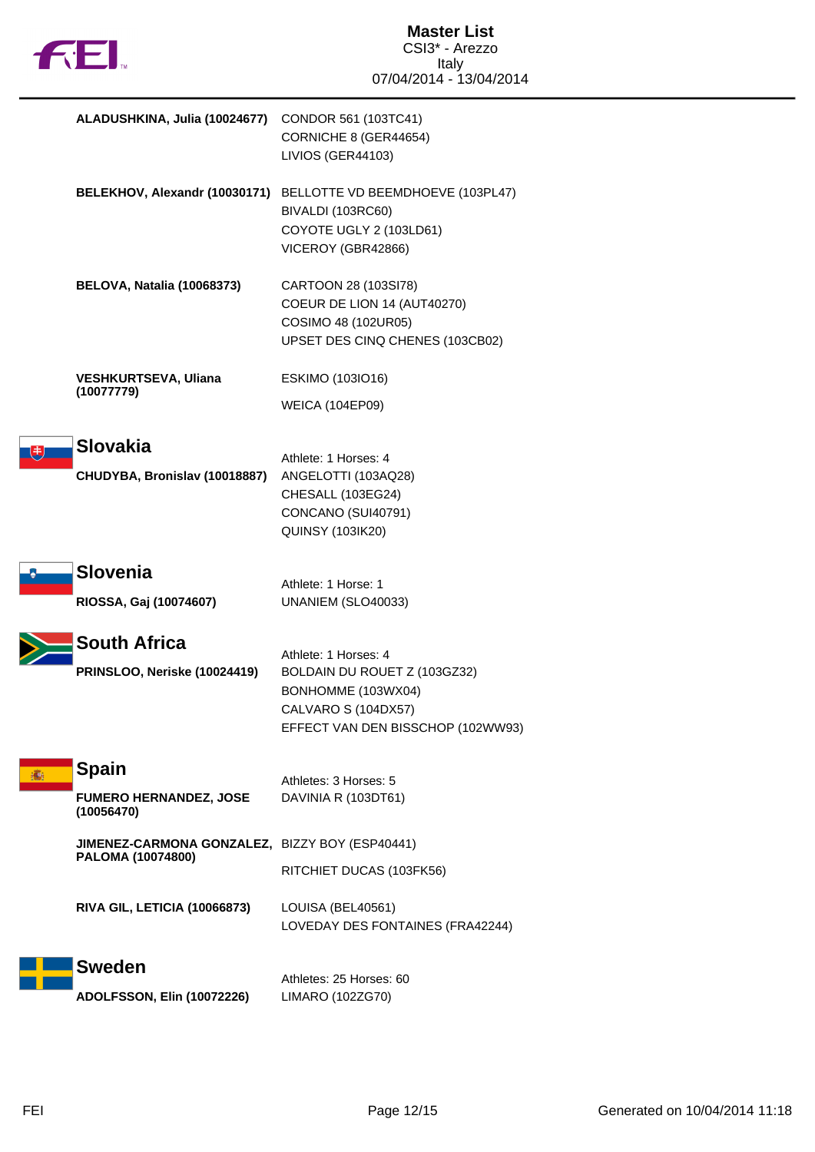

| ALADUSHKINA, Julia (10024677)                       | CONDOR 561 (103TC41)<br>CORNICHE 8 (GER44654)<br>LIVIOS (GER44103)                                                                     |
|-----------------------------------------------------|----------------------------------------------------------------------------------------------------------------------------------------|
|                                                     | BELEKHOV, Alexandr (10030171) BELLOTTE VD BEEMDHOEVE (103PL47)<br>BIVALDI (103RC60)<br>COYOTE UGLY 2 (103LD61)<br>VICEROY (GBR42866)   |
| <b>BELOVA, Natalia (10068373)</b>                   | CARTOON 28 (103SI78)<br>COEUR DE LION 14 (AUT40270)<br>COSIMO 48 (102UR05)<br>UPSET DES CINQ CHENES (103CB02)                          |
| <b>VESHKURTSEVA, Uliana</b>                         | ESKIMO (103IO16)                                                                                                                       |
| (10077779)                                          | <b>WEICA (104EP09)</b>                                                                                                                 |
| Slovakia<br>CHUDYBA, Bronislav (10018887)           | Athlete: 1 Horses: 4<br>ANGELOTTI (103AQ28)<br>CHESALL (103EG24)<br>CONCANO (SUI40791)<br><b>QUINSY (103IK20)</b>                      |
| <b>Slovenia</b>                                     | Athlete: 1 Horse: 1                                                                                                                    |
| RIOSSA, Gaj (10074607)                              | UNANIEM (SLO40033)                                                                                                                     |
| <b>South Africa</b><br>PRINSLOO, Neriske (10024419) | Athlete: 1 Horses: 4<br>BOLDAIN DU ROUET Z (103GZ32)<br>BONHOMME (103WX04)<br>CALVARO S (104DX57)<br>EFFECT VAN DEN BISSCHOP (102WW93) |
| <b>Spain</b>                                        | Athletes: 3 Horses: 5                                                                                                                  |
| <b>FUMERO HERNANDEZ, JOSE</b><br>(10056470)         | DAVINIA R (103DT61)                                                                                                                    |
| JIMENEZ-CARMONA GONZALEZ, BIZZY BOY (ESP40441)      |                                                                                                                                        |
| PALOMA (10074800)                                   | RITCHIET DUCAS (103FK56)                                                                                                               |
| RIVA GIL, LETICIA (10066873)                        | LOUISA (BEL40561)<br>LOVEDAY DES FONTAINES (FRA42244)                                                                                  |
| <b>Sweden</b>                                       |                                                                                                                                        |
|                                                     | Athletes: 25 Horses: 60                                                                                                                |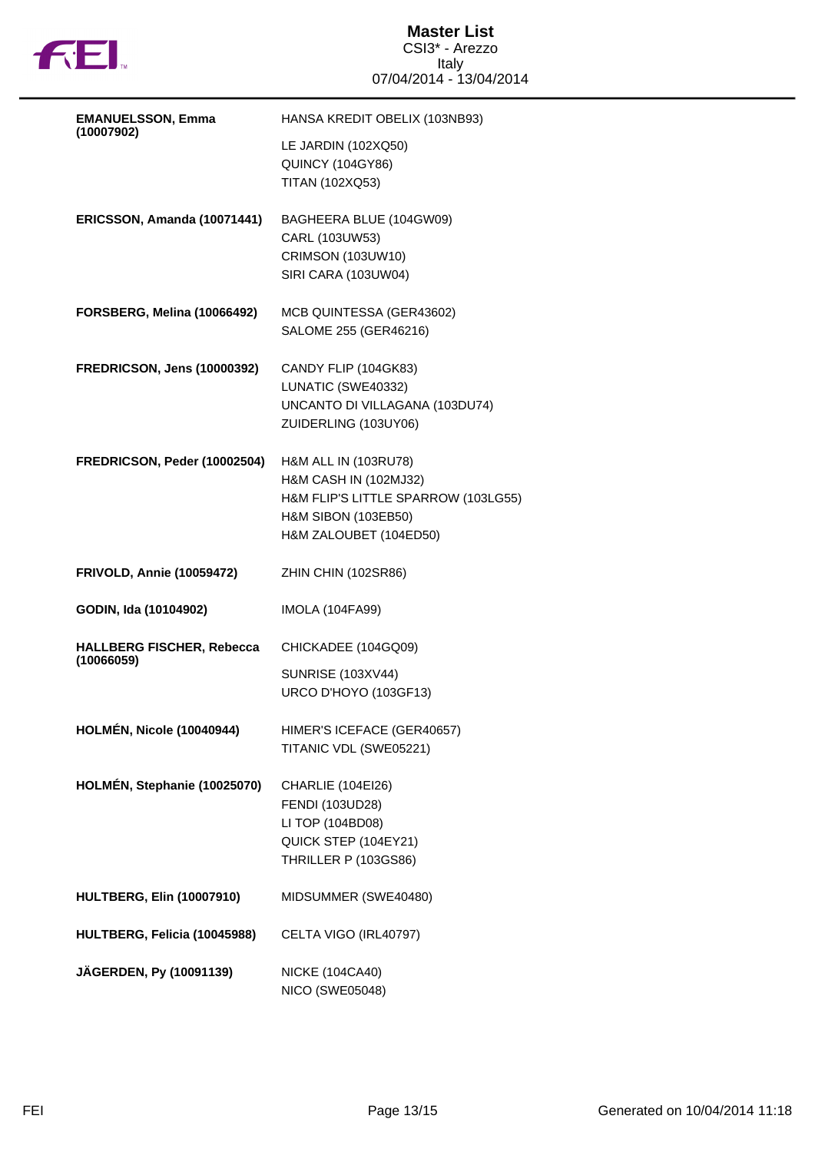

## **Master List** CSI3\* - Arezzo Italy 07/04/2014 - 13/04/2014

| <b>EMANUELSSON, Emma</b>                       | HANSA KREDIT OBELIX (103NB93)                                                                                                         |
|------------------------------------------------|---------------------------------------------------------------------------------------------------------------------------------------|
| (10007902)                                     | LE JARDIN (102XQ50)<br><b>QUINCY (104GY86)</b><br>TITAN (102XQ53)                                                                     |
| ERICSSON, Amanda (10071441)                    | BAGHEERA BLUE (104GW09)<br>CARL (103UW53)<br><b>CRIMSON (103UW10)</b><br>SIRI CARA (103UW04)                                          |
| FORSBERG, Melina (10066492)                    | MCB QUINTESSA (GER43602)<br>SALOME 255 (GER46216)                                                                                     |
| <b>FREDRICSON, Jens (10000392)</b>             | CANDY FLIP (104GK83)<br>LUNATIC (SWE40332)<br>UNCANTO DI VILLAGANA (103DU74)<br>ZUIDERLING (103UY06)                                  |
| FREDRICSON, Peder (10002504)                   | H&M ALL IN (103RU78)<br>H&M CASH IN (102MJ32)<br>H&M FLIP'S LITTLE SPARROW (103LG55)<br>H&M SIBON (103EB50)<br>H&M ZALOUBET (104ED50) |
|                                                |                                                                                                                                       |
| <b>FRIVOLD, Annie (10059472)</b>               | ZHIN CHIN (102SR86)                                                                                                                   |
| GODIN, Ida (10104902)                          | <b>IMOLA (104FA99)</b>                                                                                                                |
| <b>HALLBERG FISCHER, Rebecca</b><br>(10066059) | CHICKADEE (104GQ09)<br><b>SUNRISE (103XV44)</b><br>URCO D'HOYO (103GF13)                                                              |
| <b>HOLMÉN, Nicole (10040944)</b>               | HIMER'S ICEFACE (GER40657)<br>TITANIC VDL (SWE05221)                                                                                  |
| HOLMÉN, Stephanie (10025070)                   | CHARLIE (104EI26)<br><b>FENDI (103UD28)</b><br>LI TOP (104BD08)<br>QUICK STEP (104EY21)<br>THRILLER P (103GS86)                       |
| <b>HULTBERG, Elin (10007910)</b>               | MIDSUMMER (SWE40480)                                                                                                                  |
| HULTBERG, Felicia (10045988)                   | CELTA VIGO (IRL40797)                                                                                                                 |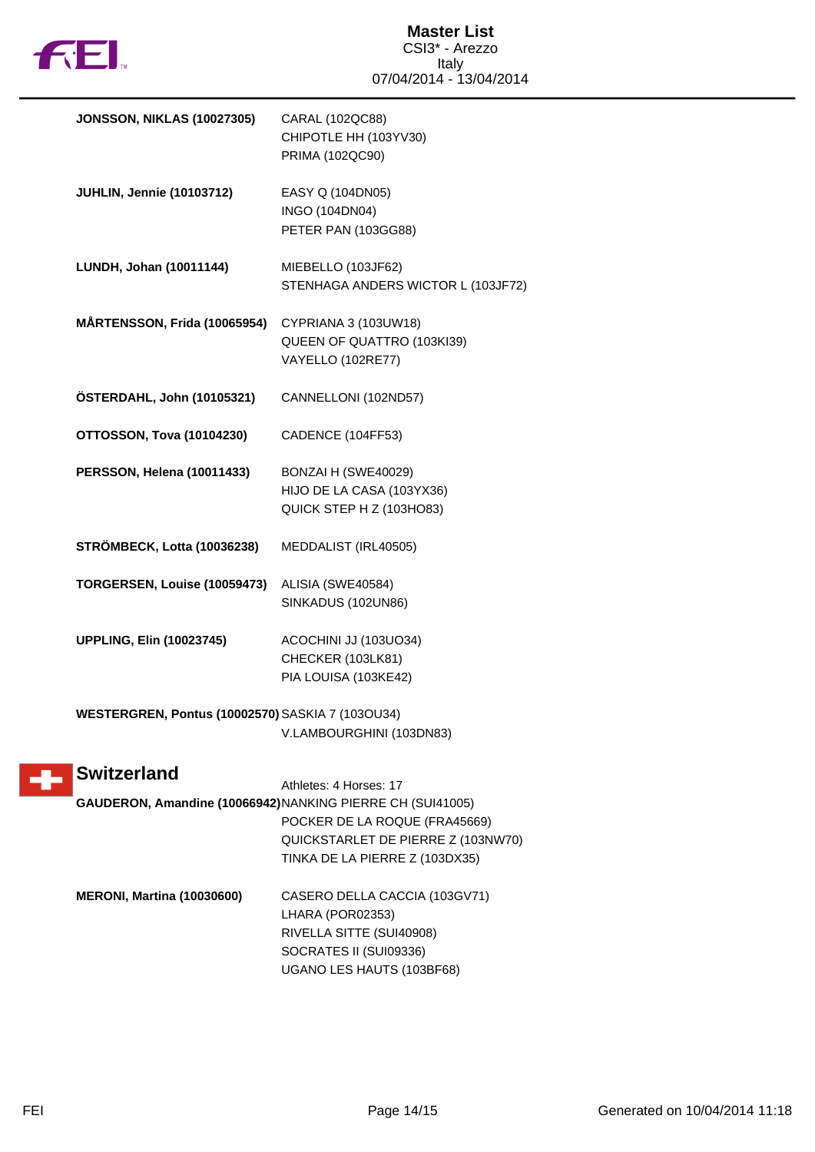

| <b>JONSSON, NIKLAS (10027305)</b>                | CARAL (102QC88)<br>CHIPOTLE HH (103YV30)<br>PRIMA (102QC90)                                                                                                         |
|--------------------------------------------------|---------------------------------------------------------------------------------------------------------------------------------------------------------------------|
| <b>JUHLIN, Jennie (10103712)</b>                 | EASY Q (104DN05)<br>INGO (104DN04)<br>PETER PAN (103GG88)                                                                                                           |
| LUNDH, Johan (10011144)                          | MIEBELLO (103JF62)<br>STENHAGA ANDERS WICTOR L (103JF72)                                                                                                            |
| MÅRTENSSON, Frida (10065954)                     | CYPRIANA 3 (103UW18)<br>QUEEN OF QUATTRO (103KI39)<br>VAYELLO (102RE77)                                                                                             |
| ÖSTERDAHL, John (10105321)                       | CANNELLONI (102ND57)                                                                                                                                                |
| <b>OTTOSSON, Tova (10104230)</b>                 | CADENCE (104FF53)                                                                                                                                                   |
| PERSSON, Helena (10011433)                       | BONZAI H (SWE40029)<br>HIJO DE LA CASA (103YX36)<br>QUICK STEP H Z (103HO83)                                                                                        |
| <b>STRÖMBECK, Lotta (10036238)</b>               | MEDDALIST (IRL40505)                                                                                                                                                |
| TORGERSEN, Louise (10059473)                     | ALISIA (SWE40584)<br>SINKADUS (102UN86)                                                                                                                             |
| <b>UPPLING, Elin (10023745)</b>                  | ACOCHINI JJ (103UO34)<br>CHECKER (103LK81)<br>PIA LOUISA (103KE42)                                                                                                  |
| WESTERGREN, Pontus (10002570) SASKIA 7 (103OU34) | V.LAMBOURGHINI (103DN83)                                                                                                                                            |
| <b>Switzerland</b>                               | Athletes: 4 Horses: 17                                                                                                                                              |
|                                                  | GAUDERON, Amandine (10066942) NANKING PIERRE CH (SUI41005)<br>POCKER DE LA ROQUE (FRA45669)<br>QUICKSTARLET DE PIERRE Z (103NW70)<br>TINKA DE LA PIERRE Z (103DX35) |
| <b>MERONI, Martina (10030600)</b>                | CASERO DELLA CACCIA (103GV71)<br>LHARA (POR02353)<br>RIVELLA SITTE (SUI40908)<br>SOCRATES II (SUI09336)<br>UGANO LES HAUTS (103BF68)                                |

Ŧ